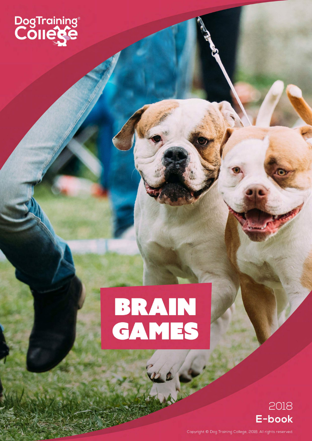

# BRAIN<br>GAMES



Copyright © Dog Training College, 2018. All rights reserved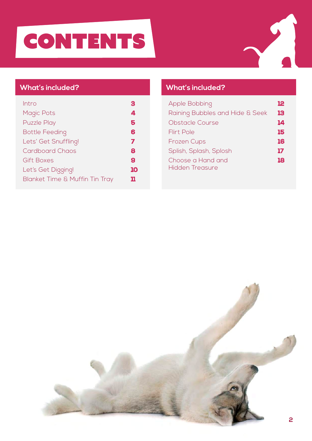# **CONTENTS**



#### **What's included?**

| Intro                                     | c  |
|-------------------------------------------|----|
| <b>Magic Pots</b>                         | 4  |
| <b>Puzzle Play</b>                        | 5  |
| <b>Bottle Feeding</b>                     | 6  |
| Lets' Get Snuffling!                      | 7  |
| Cardboard Chaos                           | 8  |
| Gift Boxes                                | 9  |
| Let's Get Digging!                        | 10 |
| <b>Blanket Time &amp; Muffin Tin Tray</b> | 11 |

#### **What's included?**

| <b>Apple Bobbing</b>                        | 12 |
|---------------------------------------------|----|
| Raining Bubbles and Hide & Seek             | 13 |
| Obstacle Course                             | 14 |
| <b>Flirt Pole</b>                           | 15 |
| <b>Frozen Cups</b>                          | 16 |
| Splish, Splash, Splosh                      | 17 |
| Choose a Hand and<br><b>Hidden Treasure</b> | 18 |

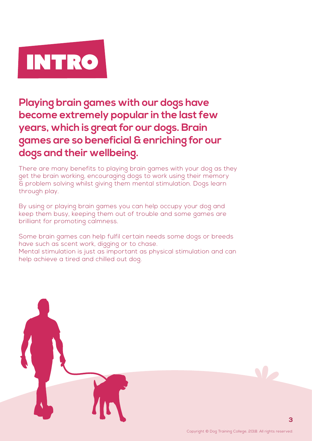

**Playing brain games with our dogs have become extremely popular in the last few years, which is great for our dogs. Brain games are so beneficial & enriching for our dogs and their wellbeing.** 

There are many benefits to playing brain games with your dog as they get the brain working, encouraging dogs to work using their memory & problem solving whilst giving them mental stimulation. Dogs learn through play.

By using or playing brain games you can help occupy your dog and keep them busy, keeping them out of trouble and some games are brilliant for promoting calmness.

Some brain games can help fulfil certain needs some dogs or breeds have such as scent work, digging or to chase.

Mental stimulation is just as important as physical stimulation and can help achieve a tired and chilled out dog.

W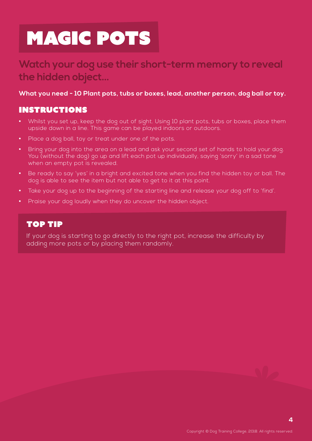### magic pots

### **Watch your dog use their short-term memory to reveal the hidden object...**

#### **What you need - 10 Plant pots, tubs or boxes, lead, another person, dog ball or toy.**

#### Instructions

- **•** Whilst you set up, keep the dog out of sight. Using 10 plant pots, tubs or boxes, place them upside down in a line. This game can be played indoors or outdoors.
- **•** Place a dog ball, toy or treat under one of the pots.
- **•** Bring your dog into the area on a lead and ask your second set of hands to hold your dog. You (without the dog) go up and lift each pot up individually, saying 'sorry' in a sad tone when an empty pot is revealed.
- **•** Be ready to say 'yes' in a bright and excited tone when you find the hidden toy or ball. The dog is able to see the item but not able to get to it at this point.
- **•** Take your dog up to the beginning of the starting line and release your dog off to 'find'.
- **•** Praise your dog loudly when they do uncover the hidden object.

#### Top Tip

If your dog is starting to go directly to the right pot, increase the difficulty by adding more pots or by placing them randomly.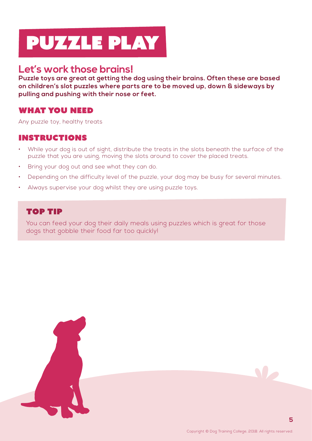# puzzle play

### **Let's work those brains!**

**Puzzle toys are great at getting the dog using their brains. Often these are based on children's slot puzzles where parts are to be moved up, down & sideways by pulling and pushing with their nose or feet.**

#### What you need

Any puzzle toy, healthy treats

#### **INSTRUCTIONS**

- While your dog is out of sight, distribute the treats in the slots beneath the surface of the puzzle that you are using, moving the slots around to cover the placed treats.
- Bring your dog out and see what they can do.
- Depending on the difficulty level of the puzzle, your dog may be busy for several minutes.
- Always supervise your dog whilst they are using puzzle toys.

#### Top Tip

You can feed your dog their daily meals using puzzles which is great for those dogs that gobble their food far too quickly!

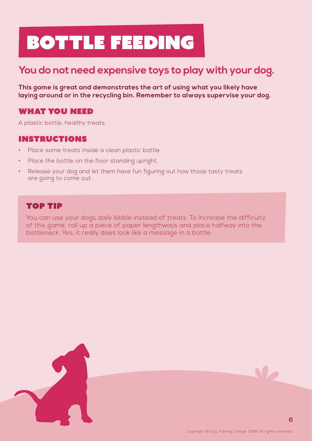# Bottle Feeding

### **You do not need expensive toys to play with your dog.**

**This game is great and demonstrates the art of using what you likely have laying around or in the recycling bin. Remember to always supervise your dog.**

#### What you need

A plastic bottle, healthy treats.

#### **INSTRUCTIONS**

- Place some treats inside a clean plastic bottle.
- Place the bottle on the floor standing upright.
- Release your dog and let them have fun figuring out how those tasty treats are going to come out.

#### Top Tip

You can use your dogs daily kibble instead of treats. To increase the difficulty of this game, roll up a piece of paper lengthways and place halfway into the bottleneck. Yes, it really does look like a message in a bottle.



**6**

V.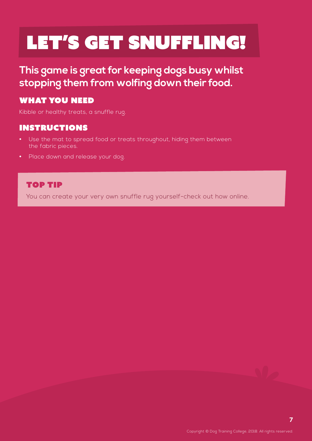# LET'S GET SNUFFLING!

**This game is great for keeping dogs busy whilst stopping them from wolfing down their food.**

#### What you need

Kibble or healthy treats, a snuffle rug.

#### **INSTRUCTIONS**

- **•** Use the mat to spread food or treats throughout, hiding them between the fabric pieces.
- **•** Place down and release your dog.

#### Top Tip

You can create your very own snuffle rug yourself-check out how online.

**7**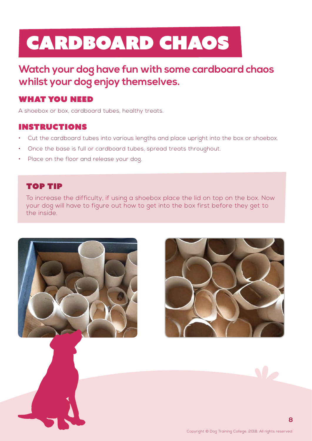# Cardboard chaos

**Watch your dog have fun with some cardboard chaos whilst your dog enjoy themselves.**

#### What you need

A shoebox or box, cardboard tubes, healthy treats.

#### Instructions

- Cut the cardboard tubes into various lengths and place upright into the box or shoebox.
- Once the base is full or cardboard tubes, spread treats throughout.
- Place on the floor and release your dog.

#### Top Tip

To increase the difficulty, if using a shoebox place the lid on top on the box. Now your dog will have to figure out how to get into the box first before they get to the inside.



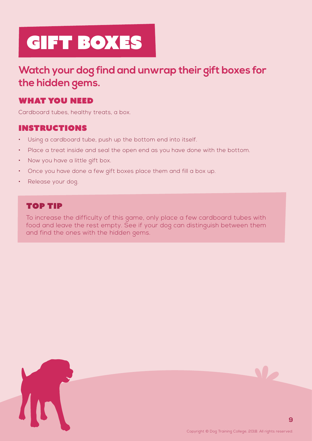# gift boxes

### **Watch your dog find and unwrap their gift boxes for the hidden gems.**

#### What you need

Cardboard tubes, healthy treats, a box.

#### **INSTRUCTIONS**

- Using a cardboard tube, push up the bottom end into itself.
- Place a treat inside and seal the open end as you have done with the bottom.
- Now you have a little gift box.
- Once you have done a few gift boxes place them and fill a box up.
- Release your dog.

#### Top Tip

To increase the difficulty of this game, only place a few cardboard tubes with food and leave the rest empty. See if your dog can distinguish between them and find the ones with the hidden gems.



**9**

N.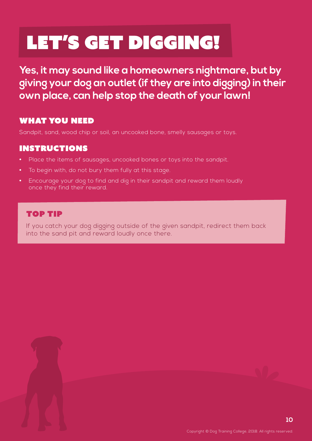# LET'S GET DIGGING!

**Yes, it may sound like a homeowners nightmare, but by giving your dog an outlet (if they are into digging) in their own place, can help stop the death of your lawn!**

#### What you need

Sandpit, sand, wood chip or soil, an uncooked bone, smelly sausages or toys.

#### **INSTRUCTIONS**

- **•** Place the items of sausages, uncooked bones or toys into the sandpit.
- **•** To begin with, do not bury them fully at this stage.
- **•** Encourage your dog to find and dig in their sandpit and reward them loudly once they find their reward.

#### Top Tip

If you catch your dog digging outside of the given sandpit, redirect them back into the sand pit and reward loudly once there.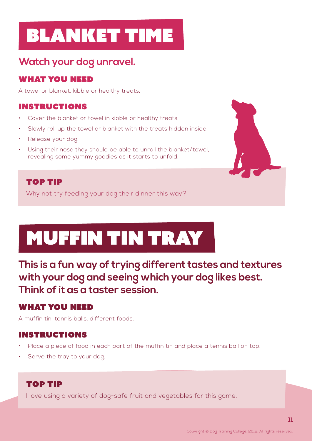### Blanket time

### **Watch your dog unravel.**

#### What you need

A towel or blanket, kibble or healthy treats.

#### **INSTRUCTIONS**

- Cover the blanket or towel in kibble or healthy treats.
- Slowly roll up the towel or blanket with the treats hidden inside.
- Release your dog.
- Using their nose they should be able to unroll the blanket/towel, revealing some yummy goodies as it starts to unfold.

#### Top Tip

Why not try feeding your dog their dinner this way?

# Muffin Tin Tray

**This is a fun way of trying different tastes and textures with your dog and seeing which your dog likes best. Think of it as a taster session.**

#### What you need

A muffin tin, tennis balls, different foods.

#### Instructions

- Place a piece of food in each part of the muffin tin and place a tennis ball on top.
- Serve the tray to your dog.

#### Top tip

I love using a variety of dog-safe fruit and vegetables for this game.

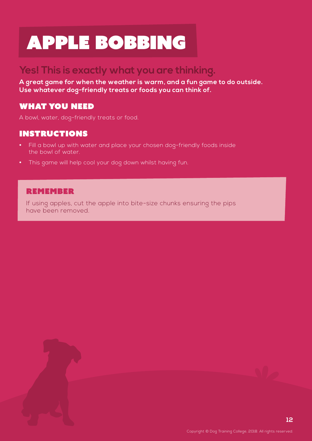### Apple Bobbing

### **Yes! This is exactly what you are thinking.**

**A great game for when the weather is warm, and a fun game to do outside. Use whatever dog-friendly treats or foods you can think of.**

#### What you need

A bowl, water, dog-friendly treats or food.

#### **INSTRUCTIONS**

- **•** Fill a bowl up with water and place your chosen dog-friendly foods inside the bowl of water.
- **•** This game will help cool your dog down whilst having fun.

#### **REMEMBER**

If using apples, cut the apple into bite-size chunks ensuring the pips have been removed.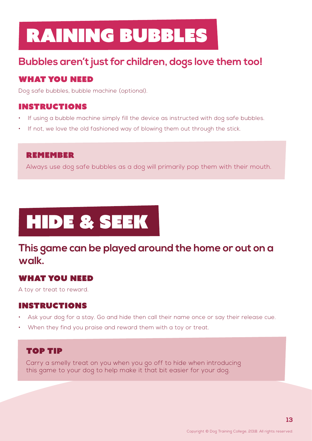### Raining Bubbles

### **Bubbles aren't just for children, dogs love them too!**

#### What you need

Dog safe bubbles, bubble machine (optional).

#### **INSTRUCTIONS**

- If using a bubble machine simply fill the device as instructed with dog safe bubbles.
- If not, we love the old fashioned way of blowing them out through the stick.

#### **REMEMBER**

Always use dog safe bubbles as a dog will primarily pop them with their mouth.

# Hide & Seek

### **This game can be played around the home or out on a walk.**

#### What you need

A toy or treat to reward.

#### **INSTRUCTIONS**

- Ask your dog for a stay. Go and hide then call their name once or say their release cue.
- When they find you praise and reward them with a toy or treat.

#### top tip

Carry a smelly treat on you when you go off to hide when introducing this game to your dog to help make it that bit easier for your dog.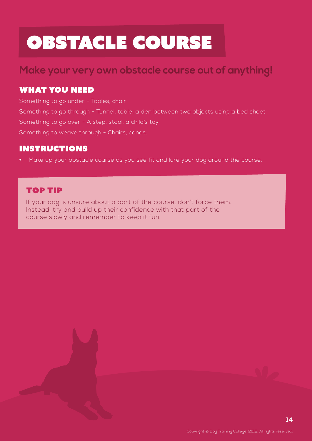### Obstacle Course

### **Make your very own obstacle course out of anything!**

#### What you need

Something to go under - Tables, chair Something to go through - Tunnel, table, a den between two objects using a bed sheet Something to go over - A step, stool, a child's toy Something to weave through - Chairs, cones.

#### **INSTRUCTIONS**

**•** Make up your obstacle course as you see fit and lure your dog around the course.

#### Top Tip

If your dog is unsure about a part of the course, don't force them. Instead, try and build up their confidence with that part of the course slowly and remember to keep it fun.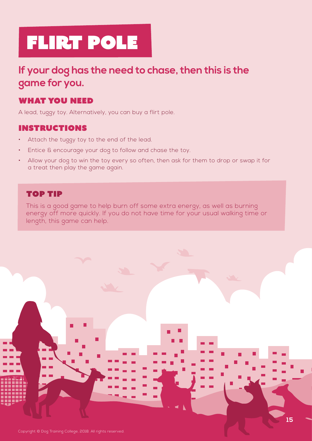### **If your dog has the need to chase, then this is the game for you.**

#### What you need

A lead, tuggy toy. Alternatively, you can buy a flirt pole.

#### Instructions

- Attach the tuggy toy to the end of the lead.
- Entice & encourage your dog to follow and chase the toy.
- Allow your dog to win the toy every so often, then ask for them to drop or swap it for a treat then play the game again.

#### Top Tip

This is a good game to help burn off some extra energy, as well as burning energy off more quickly. If you do not have time for your usual walking time or length, this game can help.

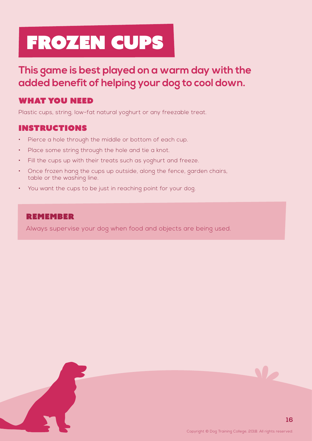# Frozen Cups

### **This game is best played on a warm day with the added benefit of helping your dog to cool down.**

#### What you need

Plastic cups, string, low-fat natural yoghurt or any freezable treat.

#### **INSTRUCTIONS**

- Pierce a hole through the middle or bottom of each cup.
- Place some string through the hole and tie a knot.
- Fill the cups up with their treats such as yoghurt and freeze.
- Once frozen hang the cups up outside, along the fence, garden chairs, table or the washing line.
- You want the cups to be just in reaching point for your dog.

#### **REMEMBER**

Always supervise your dog when food and objects are being used.





**M**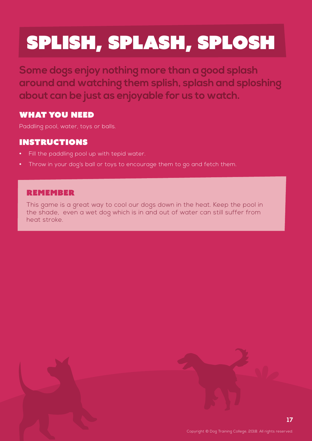# Splish, Splash, Splosh

**Some dogs enjoy nothing more than a good splash around and watching them splish, splash and sploshing about can be just as enjoyable for us to watch.**

#### What you need

Paddling pool, water, toys or balls.

#### **INSTRUCTIONS**

- **•** Fill the paddling pool up with tepid water.
- **•** Throw in your dog's ball or toys to encourage them to go and fetch them.

#### **REMEMBER**

This game is a great way to cool our dogs down in the heat. Keep the pool in the shade, even a wet dog which is in and out of water can still suffer from heat stroke.

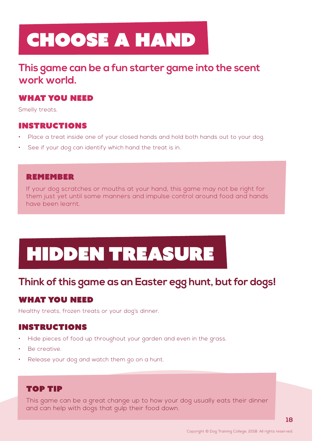# Choose a Hand

### **This game can be a fun starter game into the scent work world.**

#### What you need

Smelly treats.

#### **INSTRUCTIONS**

- Place a treat inside one of your closed hands and hold both hands out to your dog.
- See if your dog can identify which hand the treat is in.

#### **REMEMBER**

If your dog scratches or mouths at your hand, this game may not be right for them just yet until some manners and impulse control around food and hands have been learnt.

# Hidden Treasure

### **Think of this game as an Easter egg hunt, but for dogs!**

#### What you need

Healthy treats, frozen treats or your dog's dinner.

#### **INSTRUCTIONS**

- Hide pieces of food up throughout your garden and even in the grass.
- Be creative.
- Release your dog and watch them go on a hunt.

#### top tip

This game can be a great change up to how your dog usually eats their dinner and can help with dogs that gulp their food down.